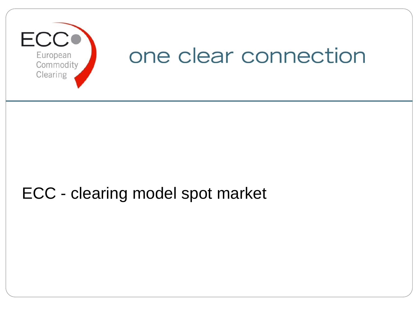

# ECC - clearing model spot market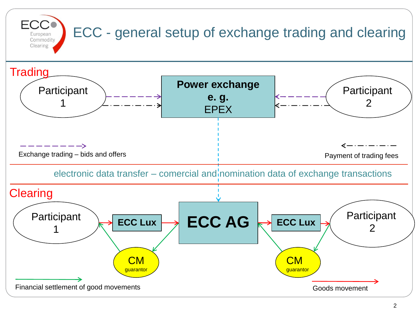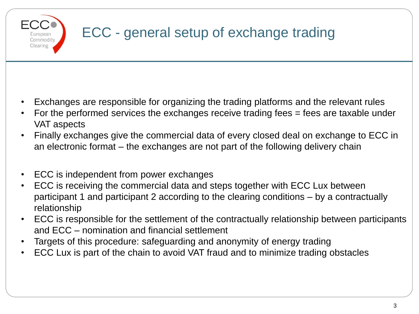

## ECC - general setup of exchange trading

- Exchanges are responsible for organizing the trading platforms and the relevant rules
- For the performed services the exchanges receive trading fees = fees are taxable under VAT aspects
- Finally exchanges give the commercial data of every closed deal on exchange to ECC in an electronic format – the exchanges are not part of the following delivery chain
- ECC is independent from power exchanges
- ECC is receiving the commercial data and steps together with ECC Lux between participant 1 and participant 2 according to the clearing conditions – by a contractually relationship
- ECC is responsible for the settlement of the contractually relationship between participants and ECC – nomination and financial settlement
- Targets of this procedure: safeguarding and anonymity of energy trading
- ECC Lux is part of the chain to avoid VAT fraud and to minimize trading obstacles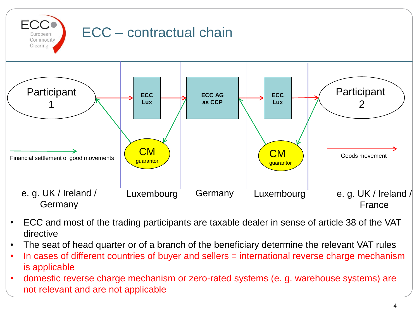

- ECC and most of the trading participants are taxable dealer in sense of article 38 of the VAT directive
- The seat of head quarter or of a branch of the beneficiary determine the relevant VAT rules
- In cases of different countries of buyer and sellers = international reverse charge mechanism is applicable
- domestic reverse charge mechanism or zero-rated systems (e. g. warehouse systems) are not relevant and are not applicable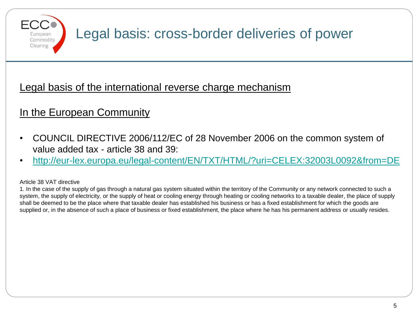

## Legal basis: cross-border deliveries of power

### Legal basis of the international reverse charge mechanism

## In the European Community

- COUNCIL DIRECTIVE 2006/112/EC of 28 November 2006 on the common system of value added tax - article 38 and 39:
- <http://eur-lex.europa.eu/legal-content/EN/TXT/HTML/?uri=CELEX:32003L0092&from=DE>

#### Article 38 VAT directive

1. In the case of the supply of gas through a natural gas system situated within the territory of the Community or any network connected to such a system, the supply of electricity, or the supply of heat or cooling energy through heating or cooling networks to a taxable dealer, the place of supply shall be deemed to be the place where that taxable dealer has established his business or has a fixed establishment for which the goods are supplied or, in the absence of such a place of business or fixed establishment, the place where he has his permanent address or usually resides.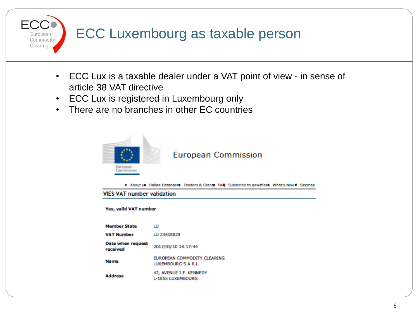## ECC Luxembourg as taxable person

- ECC Lux is a taxable dealer under a VAT point of view in sense of article 38 VAT directive
- ECC Lux is registered in Luxembourg only
- There are no branches in other EC countries



European Commodity Clearing

#### **European Commission**

About us. Online Databases: Tenders & Grants. FAO: Subscribe to newsflash. What's New ? Sitemap

#### **VIES VAT number validation**

#### Yes, valid VAT number

| <b>Member State</b>           | ш                                                   |
|-------------------------------|-----------------------------------------------------|
| <b>VAT Number</b>             | LU 23418829                                         |
| Date when request<br>received | 2017/03/10 14:17:44                                 |
| <b>Name</b>                   | EUROPEAN COMMODITY CLEARING<br>LUXEMBOURG S.A.R.L.  |
| <b>Address</b>                | 42, AVENUE J.F. KENNEDY<br><b>L-1855 LUXEMBOURG</b> |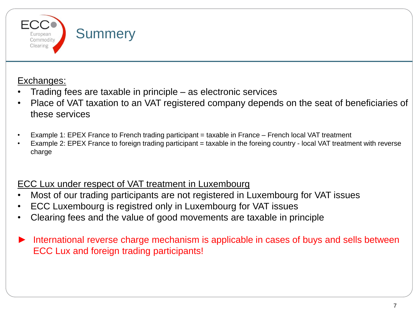

### Exchanges:

- Trading fees are taxable in principle as electronic services
- Place of VAT taxation to an VAT registered company depends on the seat of beneficiaries of these services
- Example 1: EPEX France to French trading participant = taxable in France French local VAT treatment
- Example 2: EPEX France to foreign trading participant = taxable in the foreing country local VAT treatment with reverse charge

### ECC Lux under respect of VAT treatment in Luxembourg

- Most of our trading participants are not registered in Luxembourg for VAT issues
- ECC Luxembourg is registred only in Luxembourg for VAT issues
- Clearing fees and the value of good movements are taxable in principle
- International reverse charge mechanism is applicable in cases of buys and sells between ECC Lux and foreign trading participants!